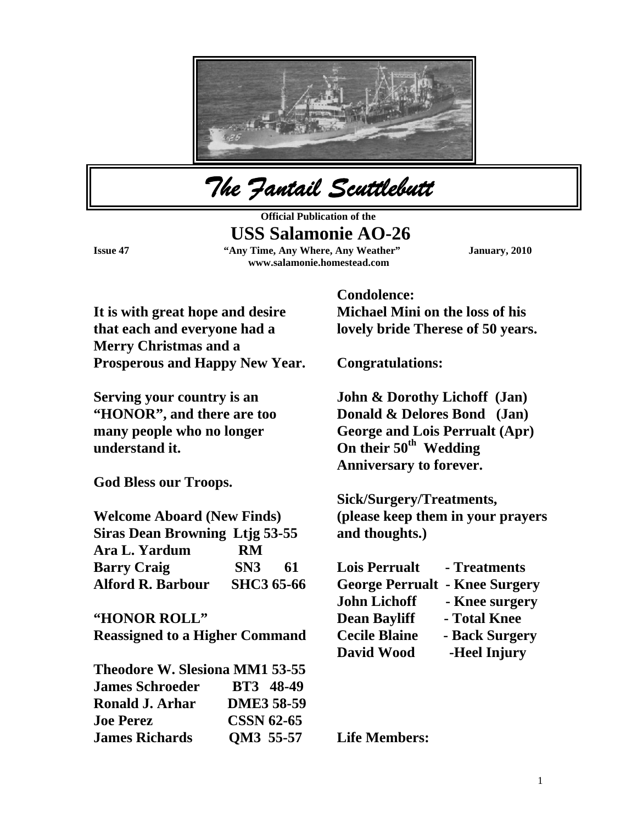

*The Fantail Scuttlebutt* 

**Official Publication of the USS Salamonie AO-26 Issue 47 "Any Time, Any Where, Any Weather" January, 2010 www.salamonie.homestead.com** 

**It is with great hope and desire that each and everyone had a Merry Christmas and a Prosperous and Happy New Year.** 

**Serving your country is an "HONOR", and there are too many people who no longer understand it.** 

**God Bless our Troops.** 

| <b>Welcome Aboard (New Finds)</b>     |                   |    |
|---------------------------------------|-------------------|----|
| <b>Siras Dean Browning Ltjg 53-55</b> |                   |    |
| Ara L. Yardum                         | RM                |    |
| <b>Barry Craig</b>                    | SN3               | 61 |
| <b>Alford R. Barbour</b>              | <b>SHC3 65-66</b> |    |

**"HONOR ROLL"** 

**Reassigned to a Higher Command** 

| <b>Theodore W. Slesiona MM1 53-55</b> |                   |
|---------------------------------------|-------------------|
| <b>James Schroeder</b>                | <b>BT3</b> 48-49  |
| Ronald J. Arhar                       | <b>DME3 58-59</b> |
| <b>Joe Perez</b>                      | <b>CSSN 62-65</b> |
| <b>James Richards</b>                 | QM3 55-57         |

**Condolence: Michael Mini on the loss of his lovely bride Therese of 50 years.** 

**Congratulations:** 

**John & Dorothy Lichoff (Jan) Donald & Delores Bond (Jan) George and Lois Perrualt (Apr) On their 50th Wedding Anniversary to forever.** 

**Sick/Surgery/Treatments, (please keep them in your prayers and thoughts.)** 

| <b>Lois Perrualt</b>   | - Treatments   |
|------------------------|----------------|
| <b>George Perrualt</b> | - Knee Surgery |
| <b>John Lichoff</b>    | - Knee surgery |
| <b>Dean Bayliff</b>    | - Total Knee   |
| <b>Cecile Blaine</b>   | - Back Surgery |
| David Wood             | -Heel Injury   |

**Life Members:**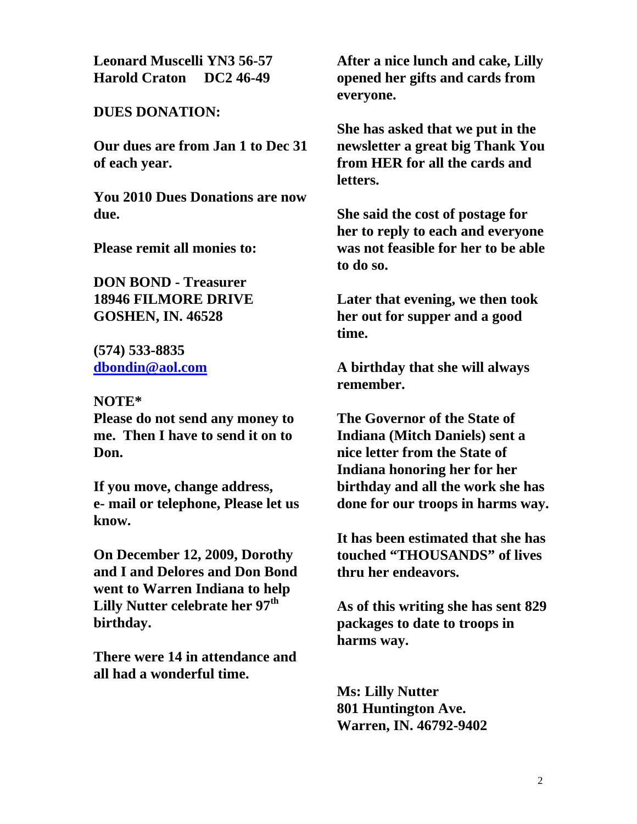**Leonard Muscelli YN3 56-57 Harold Craton DC2 46-49** 

## **DUES DONATION:**

**Our dues are from Jan 1 to Dec 31 of each year.** 

**You 2010 Dues Donations are now due.** 

**Please remit all monies to:** 

**DON BOND - Treasurer 18946 FILMORE DRIVE GOSHEN, IN. 46528** 

**(574) 533-8835 [dbondin@aol.com](mailto:dbondin@aol.com)**

## **NOTE\***

**Please do not send any money to me. Then I have to send it on to Don.** 

**If you move, change address, e- mail or telephone, Please let us know.** 

**On December 12, 2009, Dorothy and I and Delores and Don Bond went to Warren Indiana to help Lilly Nutter celebrate her 97th birthday.** 

**There were 14 in attendance and all had a wonderful time.** 

**After a nice lunch and cake, Lilly opened her gifts and cards from everyone.** 

**She has asked that we put in the newsletter a great big Thank You from HER for all the cards and letters.** 

**She said the cost of postage for her to reply to each and everyone was not feasible for her to be able to do so.** 

**Later that evening, we then took her out for supper and a good time.** 

**A birthday that she will always remember.** 

**The Governor of the State of Indiana (Mitch Daniels) sent a nice letter from the State of Indiana honoring her for her birthday and all the work she has done for our troops in harms way.** 

**It has been estimated that she has touched "THOUSANDS" of lives thru her endeavors.** 

**As of this writing she has sent 829 packages to date to troops in harms way.** 

**Ms: Lilly Nutter 801 Huntington Ave. Warren, IN. 46792-9402**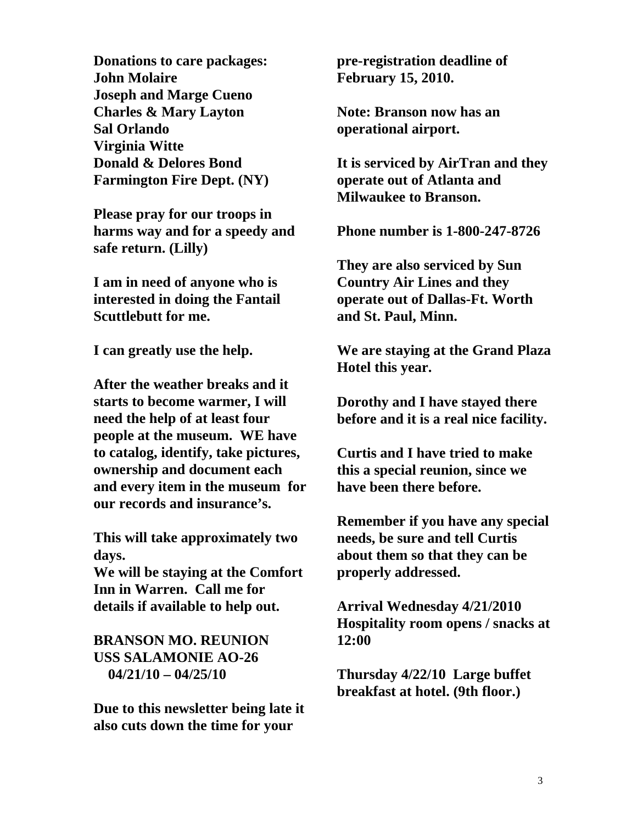**Donations to care packages: John Molaire Joseph and Marge Cueno Charles & Mary Layton Sal Orlando Virginia Witte Donald & Delores Bond Farmington Fire Dept. (NY)** 

**Please pray for our troops in harms way and for a speedy and safe return. (Lilly)** 

**I am in need of anyone who is interested in doing the Fantail Scuttlebutt for me.** 

**I can greatly use the help.** 

**After the weather breaks and it starts to become warmer, I will need the help of at least four people at the museum. WE have to catalog, identify, take pictures, ownership and document each and every item in the museum for our records and insurance's.** 

**This will take approximately two days.** 

**We will be staying at the Comfort Inn in Warren. Call me for details if available to help out.** 

## **BRANSON MO. REUNION USS SALAMONIE AO-26 04/21/10 – 04/25/10**

**Due to this newsletter being late it also cuts down the time for your** 

**pre-registration deadline of February 15, 2010.** 

**Note: Branson now has an operational airport.** 

**It is serviced by AirTran and they operate out of Atlanta and Milwaukee to Branson.** 

**Phone number is 1-800-247-8726** 

**They are also serviced by Sun Country Air Lines and they operate out of Dallas-Ft. Worth and St. Paul, Minn.** 

**We are staying at the Grand Plaza Hotel this year.** 

**Dorothy and I have stayed there before and it is a real nice facility.** 

**Curtis and I have tried to make this a special reunion, since we have been there before.** 

**Remember if you have any special needs, be sure and tell Curtis about them so that they can be properly addressed.** 

**Arrival Wednesday 4/21/2010 Hospitality room opens / snacks at 12:00** 

**Thursday 4/22/10 Large buffet breakfast at hotel. (9th floor.)**